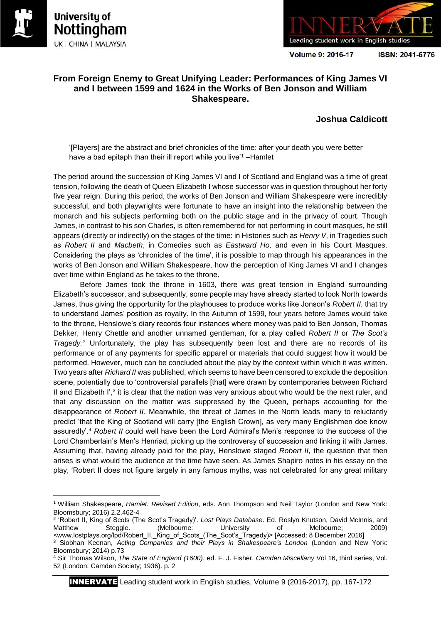

**.** 





**Volume 9: 2016-17** 

ISSN: 2041-6776

# **From Foreign Enemy to Great Unifying Leader: Performances of King James VI and I between 1599 and 1624 in the Works of Ben Jonson and William Shakespeare.**

## **Joshua Caldicott**

'[Players] are the abstract and brief chronicles of the time: after your death you were better have a bad epitaph than their ill report while you live'<sup>1</sup>-Hamlet

The period around the succession of King James VI and I of Scotland and England was a time of great tension, following the death of Queen Elizabeth I whose successor was in question throughout her forty five year reign. During this period, the works of Ben Jonson and William Shakespeare were incredibly successful, and both playwrights were fortunate to have an insight into the relationship between the monarch and his subjects performing both on the public stage and in the privacy of court. Though James, in contrast to his son Charles, is often remembered for not performing in court masques, he still appears (directly or indirectly) on the stages of the time: in Histories such as *Henry V*, in Tragedies such as *Robert II* and *Macbeth*, in Comedies such as *Eastward Ho,* and even in his Court Masques. Considering the plays as 'chronicles of the time', it is possible to map through his appearances in the works of Ben Jonson and William Shakespeare, how the perception of King James VI and I changes over time within England as he takes to the throne.

Before James took the throne in 1603, there was great tension in England surrounding Elizabeth's successor, and subsequently, some people may have already started to look North towards James, thus giving the opportunity for the playhouses to produce works like Jonson's *Robert II*, that try to understand James' position as royalty. In the Autumn of 1599, four years before James would take to the throne, Henslowe's diary records four instances where money was paid to Ben Jonson, Thomas Dekker, Henry Chettle and another unnamed gentleman, for a play called *Robert II* or *The Scot's Tragedy.<sup>2</sup>* Unfortunately, the play has subsequently been lost and there are no records of its performance or of any payments for specific apparel or materials that could suggest how it would be performed. However, much can be concluded about the play by the context within which it was written. Two years after *Richard II* was published, which seems to have been censored to exclude the deposition scene, potentially due to 'controversial parallels [that] were drawn by contemporaries between Richard II and Elizabeth  $I^3$ , it is clear that the nation was very anxious about who would be the next ruler, and that any discussion on the matter was suppressed by the Queen, perhaps accounting for the disappearance of *Robert II*. Meanwhile, the threat of James in the North leads many to reluctantly predict 'that the King of Scotland will carry [the English Crown], as very many Englishmen doe know assuredly'.<sup>4</sup> *Robert II* could well have been the Lord Admiral's Men's response to the success of the Lord Chamberlain's Men's Henriad, picking up the controversy of succession and linking it with James. Assuming that, having already paid for the play, Henslowe staged *Robert II*, the question that then arises is what would the audience at the time have seen. As James Shapiro notes in his essay on the play, 'Robert II does not figure largely in any famous myths, was not celebrated for any great military

2 'Robert II, King of Scots (The Scot's Tragedy)'. *Lost Plays Database*. Ed. Roslyn Knutson, David McInnis, and Matthew Steggle. (Melbourne: University of Melbourne; 2009) <www.lostplays.org/lpd/Robert\_II,\_King\_of\_Scots\_(The\_Scot's\_Tragedy)> [Accessed: 8 December 2016]

<sup>1</sup> William Shakespeare, *Hamlet: Revised Edition*, eds. Ann Thompson and Neil Taylor (London and New York: Bloomsbury; 2016) 2.2.462-4

<sup>3</sup> Siobhan Keenan, *Acting Companies and their Plays in Shakespeare's London* (London and New York: Bloomsbury; 2014) p.73

<sup>4</sup> Sir Thomas Wilson, *The State of England (1600)*, ed. F. J. Fisher, *Camden Miscellany* Vol 16, third series, Vol. 52 (London: Camden Society; 1936). p. 2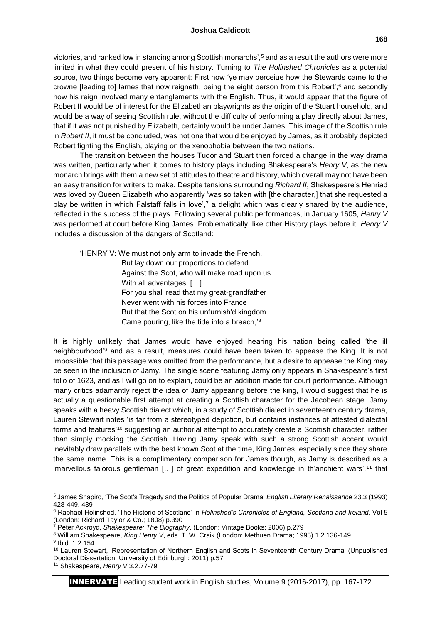victories, and ranked low in standing among Scottish monarchs',<sup>5</sup> and as a result the authors were more limited in what they could present of his history. Turning to *The Holinshed Chronicles* as a potential source, two things become very apparent: First how 'ye may perceiue how the Stewards came to the crowne [leading to] lames that now reigneth, being the eight person from this Robert';<sup>6</sup> and secondly how his reign involved many entanglements with the English. Thus, it would appear that the figure of Robert II would be of interest for the Elizabethan playwrights as the origin of the Stuart household, and would be a way of seeing Scottish rule, without the difficulty of performing a play directly about James, that if it was not punished by Elizabeth, certainly would be under James. This image of the Scottish rule in *Robert II*, it must be concluded, was not one that would be enjoyed by James, as it probably depicted Robert fighting the English, playing on the xenophobia between the two nations.

The transition between the houses Tudor and Stuart then forced a change in the way drama was written, particularly when it comes to history plays including Shakespeare's *Henry V*, as the new monarch brings with them a new set of attitudes to theatre and history, which overall may not have been an easy transition for writers to make. Despite tensions surrounding *Richard II*, Shakespeare's Henriad was loved by Queen Elizabeth who apparently 'was so taken with [the character,] that she requested a play be written in which Falstaff falls in love', $7$  a delight which was clearly shared by the audience, reflected in the success of the plays. Following several public performances, in January 1605, *Henry V* was performed at court before King James. Problematically, like other History plays before it, *Henry V* includes a discussion of the dangers of Scotland:

'HENRY V: We must not only arm to invade the French, But lay down our proportions to defend Against the Scot, who will make road upon us With all advantages. […] For you shall read that my great-grandfather Never went with his forces into France But that the Scot on his unfurnish'd kingdom Came pouring, like the tide into a breach,'<sup>8</sup>

It is highly unlikely that James would have enjoyed hearing his nation being called 'the ill neighbourhood'<sup>9</sup> and as a result, measures could have been taken to appease the King. It is not impossible that this passage was omitted from the performance, but a desire to appease the King may be seen in the inclusion of Jamy. The single scene featuring Jamy only appears in Shakespeare's first folio of 1623, and as I will go on to explain, could be an addition made for court performance. Although many critics adamantly reject the idea of Jamy appearing before the king, I would suggest that he is actually a questionable first attempt at creating a Scottish character for the Jacobean stage. Jamy speaks with a heavy Scottish dialect which, in a study of Scottish dialect in seventeenth century drama, Lauren Stewart notes 'is far from a stereotyped depiction, but contains instances of attested dialectal forms and features'<sup>10</sup> suggesting an authorial attempt to accurately create a Scottish character, rather than simply mocking the Scottish. Having Jamy speak with such a strong Scottish accent would inevitably draw parallels with the best known Scot at the time, King James, especially since they share the same name. This is a complimentary comparison for James though, as Jamy is described as a 'marvellous falorous gentleman [...] of great expedition and knowledge in th'anchient wars',<sup>11</sup> that

 $\overline{a}$ <sup>5</sup> James Shapiro, 'The Scot's Tragedy and the Politics of Popular Drama' *English Literary Renaissance* 23.3 (1993) 428-449. 439

<sup>6</sup> Raphael Holinshed, 'The Historie of Scotland' in *Holinshed's Chronicles of England, Scotland and Ireland*, Vol 5 (London: Richard Taylor & Co.; 1808) p.390

<sup>7</sup> Peter Ackroyd, *Shakespeare: The Biography*. (London: Vintage Books; 2006) p.279

<sup>8</sup> William Shakespeare, *King Henry V*, eds. T. W. Craik (London: Methuen Drama; 1995) 1.2.136-149 <sup>9</sup> Ibid. 1.2.154

<sup>10</sup> Lauren Stewart, 'Representation of Northern English and Scots in Seventeenth Century Drama' (Unpublished Doctoral Dissertation, University of Edinburgh: 2011) p.57

<sup>11</sup> Shakespeare, *Henry V* 3.2.77-79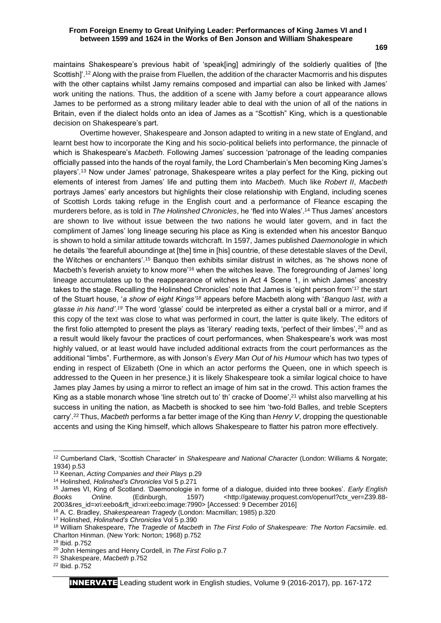## **From Foreign Enemy to Great Unifying Leader: Performances of King James VI and I between 1599 and 1624 in the Works of Ben Jonson and William Shakespeare**

maintains Shakespeare's previous habit of 'speak[ing] admiringly of the soldierly qualities of [the Scottish]'.<sup>12</sup> Along with the praise from Fluellen, the addition of the character Macmorris and his disputes with the other captains whilst Jamy remains composed and impartial can also be linked with James' work uniting the nations. Thus, the addition of a scene with Jamy before a court appearance allows James to be performed as a strong military leader able to deal with the union of all of the nations in Britain, even if the dialect holds onto an idea of James as a "Scottish" King, which is a questionable decision on Shakespeare's part.

Overtime however, Shakespeare and Jonson adapted to writing in a new state of England, and learnt best how to incorporate the King and his socio-political beliefs into performance, the pinnacle of which is Shakespeare's *Macbeth*. Following James' succession 'patronage of the leading companies officially passed into the hands of the royal family, the Lord Chamberlain's Men becoming King James's players'.<sup>13</sup> Now under James' patronage, Shakespeare writes a play perfect for the King, picking out elements of interest from James' life and putting them into *Macbeth*. Much like *Robert II*, *Macbeth* portrays James' early ancestors but highlights their close relationship with England, including scenes of Scottish Lords taking refuge in the English court and a performance of Fleance escaping the murderers before, as is told in *The Holinshed Chronicles*, he 'fled into Wales'.<sup>14</sup> Thus James' ancestors are shown to live without issue between the two nations he would later govern, and in fact the compliment of James' long lineage securing his place as King is extended when his ancestor Banquo is shown to hold a similar attitude towards witchcraft. In 1597, James published *Daemonologie* in which he details 'the fearefull aboundinge at [the] time in [his] countrie, of these detestable slaves of the Devil, the Witches or enchanters'.<sup>15</sup> Banquo then exhibits similar distrust in witches, as 'he shows none of Macbeth's feverish anxiety to know more<sup>'16</sup> when the witches leave. The foregrounding of James' long lineage accumulates up to the reappearance of witches in Act 4 Scene 1, in which James' ancestry takes to the stage. Recalling the Holinshed Chronicles' note that James is 'eight person from'<sup>17</sup> the start of the Stuart house, '*a show of eight Kings'<sup>18</sup>* appears before Macbeth along with '*Banquo last, with a glasse in his hand'*. *<sup>19</sup>* The word 'glasse' could be interpreted as either a crystal ball or a mirror, and if this copy of the text was close to what was performed in court, the latter is quite likely. The editors of the first folio attempted to present the plays as 'literary' reading texts, 'perfect of their limbes',<sup>20</sup> and as a result would likely favour the practices of court performances, when Shakespeare's work was most highly valued, or at least would have included additional extracts from the court performances as the additional "limbs". Furthermore, as with Jonson's *Every Man Out of his Humour* which has two types of ending in respect of Elizabeth (One in which an actor performs the Queen, one in which speech is addressed to the Queen in her presence,) it is likely Shakespeare took a similar logical choice to have James play James by using a mirror to reflect an image of him sat in the crowd. This action frames the King as a stable monarch whose 'line stretch out to' th' cracke of Doome',<sup>21</sup> whilst also marvelling at his success in uniting the nation, as Macbeth is shocked to see him 'two-fold Balles, and treble Scepters carry'.<sup>22</sup> Thus, *Macbeth* performs a far better image of the King than *Henry V*, dropping the questionable accents and using the King himself, which allows Shakespeare to flatter his patron more effectively.

1

<sup>12</sup> Cumberland Clark, 'Scottish Character' in *Shakespeare and National Character* (London: Williams & Norgate; 1934) p.53

<sup>13</sup> Keenan, *Acting Companies and their Plays* p.29

<sup>14</sup> Holinshed, *Holinshed's Chronicles* Vol 5 p.271

<sup>15</sup> James VI, King of Scotland. 'Daemonologie in forme of a dialogue, diuided into three bookes'. *Early English*  Books Online. (Edinburgh, 1597) <http://gateway.proquest.com/openurl?ctx\_ver=Z39.88-2003&res\_id=xri:eebo&rft\_id=xri:eebo:image:7990> [Accessed: 9 December 2016]

<sup>16</sup> A. C. Bradley, *Shakespearean Tragedy* (London: Macmillan; 1985) p.320

<sup>17</sup> Holinshed, *Holinshed's Chronicles* Vol 5 p.390

<sup>18</sup> William Shakespeare, *The Tragedie of Macbeth* in *The First Folio of Shakespeare: The Norton Facsimile*. ed. Charlton Hinman. (New York: Norton; 1968) p.752

<sup>19</sup> Ibid. p.752

<sup>20</sup> John Heminges and Henry Cordell, in *The First Folio* p.7

<sup>21</sup> Shakespeare, *Macbeth* p.752

<sup>22</sup> Ibid. p.752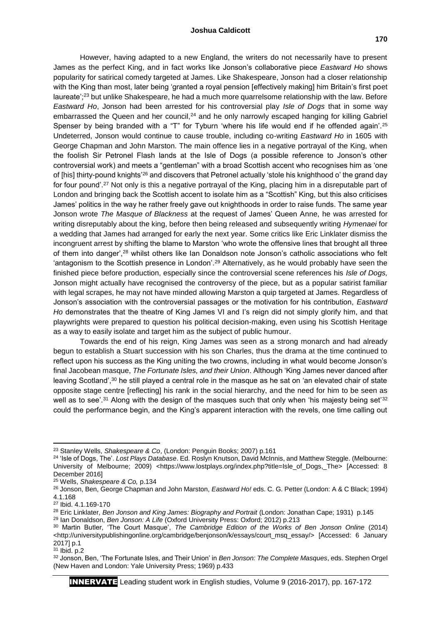#### **Joshua Caldicott**

However, having adapted to a new England, the writers do not necessarily have to present James as the perfect King, and in fact works like Jonson's collaborative piece *Eastward Ho* shows popularity for satirical comedy targeted at James. Like Shakespeare, Jonson had a closer relationship with the King than most, later being 'granted a royal pension [effectively making] him Britain's first poet laureate';<sup>23</sup> but unlike Shakespeare, he had a much more quarrelsome relationship with the law. Before *Eastward Ho*, Jonson had been arrested for his controversial play *Isle of Dogs* that in some way embarrassed the Queen and her council, $24$  and he only narrowly escaped hanging for killing Gabriel Spenser by being branded with a "T" for Tyburn 'where his life would end if he offended again'.<sup>25</sup> Undeterred, Jonson would continue to cause trouble, including co-writing *Eastward Ho* in 1605 with George Chapman and John Marston. The main offence lies in a negative portrayal of the King, when the foolish Sir Petronel Flash lands at the Isle of Dogs (a possible reference to Jonson's other controversial work) and meets a "gentleman" with a broad Scottish accent who recognises him as 'one of [his] thirty-pound knights'<sup>26</sup> and discovers that Petronel actually 'stole his knighthood o' the grand day for four pound'.<sup>27</sup> Not only is this a negative portrayal of the King, placing him in a disreputable part of London and bringing back the Scottish accent to isolate him as a "Scottish" King, but this also criticises James' politics in the way he rather freely gave out knighthoods in order to raise funds. The same year Jonson wrote *The Masque of Blackness* at the request of James' Queen Anne, he was arrested for writing disreputably about the king, before then being released and subsequently writing *Hymenaei* for a wedding that James had arranged for early the next year. Some critics like Eric Linklater dismiss the incongruent arrest by shifting the blame to Marston 'who wrote the offensive lines that brought all three of them into danger',<sup>28</sup> whilst others like Ian Donaldson note Jonson's catholic associations who felt 'antagonism to the Scottish presence in London'.<sup>29</sup> Alternatively, as he would probably have seen the finished piece before production, especially since the controversial scene references his *Isle of Dogs,* Jonson might actually have recognised the controversy of the piece, but as a popular satirist familiar with legal scrapes, he may not have minded allowing Marston a quip targeted at James. Regardless of Jonson's association with the controversial passages or the motivation for his contribution, *Eastward Ho* demonstrates that the theatre of King James VI and I's reign did not simply glorify him, and that playwrights were prepared to question his political decision-making, even using his Scottish Heritage as a way to easily isolate and target him as the subject of public humour.

Towards the end of his reign, King James was seen as a strong monarch and had already begun to establish a Stuart succession with his son Charles, thus the drama at the time continued to reflect upon his success as the King uniting the two crowns, including in what would become Jonson's final Jacobean masque, *The Fortunate Isles, and their Union*. Although 'King James never danced after leaving Scotland',<sup>30</sup> he still played a central role in the masque as he sat on 'an elevated chair of state opposite stage centre [reflecting] his rank in the social hierarchy, and the need for him to be seen as well as to see'.<sup>31</sup> Along with the design of the masques such that only when 'his majesty being set'<sup>32</sup> could the performance begin, and the King's apparent interaction with the revels, one time calling out

**.** 

INNERVATE Leading student work in English studies, Volume 9 (2016-2017), pp. 167-172

<sup>23</sup> Stanley Wells, *Shakespeare & Co*, (London: Penguin Books; 2007) p.161

<sup>24</sup> 'Isle of Dogs, The'. *Lost Plays Database*. Ed. Roslyn Knutson, David McInnis, and Matthew Steggle. (Melbourne: University of Melbourne; 2009) <https://www.lostplays.org/index.php?title=Isle\_of\_Dogs,\_The> [Accessed: 8 December 2016]

<sup>25</sup> Wells, *Shakespeare & Co,* p.134

<sup>26</sup> Jonson, Ben, George Chapman and John Marston, *Eastward Ho!* eds. C. G. Petter (London: A & C Black; 1994) 4.1.168

<sup>27</sup> Ibid. 4.1.169-170

<sup>28</sup> Eric Linklater, *Ben Jonson and King James: Biography and Portrait* (London: Jonathan Cape; 1931) p.145

<sup>29</sup> Ian Donaldson, *Ben Jonson: A Life* (Oxford University Press: Oxford; 2012) p.213

<sup>30</sup> Martin Butler, 'The Court Masque', *The Cambridge Edition of the Works of Ben Jonson Online* (2014) <http://universitypublishingonline.org/cambridge/benjonson/k/essays/court\_msq\_essay/> [Accessed: 6 January 2017] p.1

<sup>31</sup> Ibid. p.2

<sup>32</sup> Jonson, Ben, 'The Fortunate Isles, and Their Union' in *Ben Jonson: The Complete Masques*, eds. Stephen Orgel (New Haven and London: Yale University Press; 1969) p.433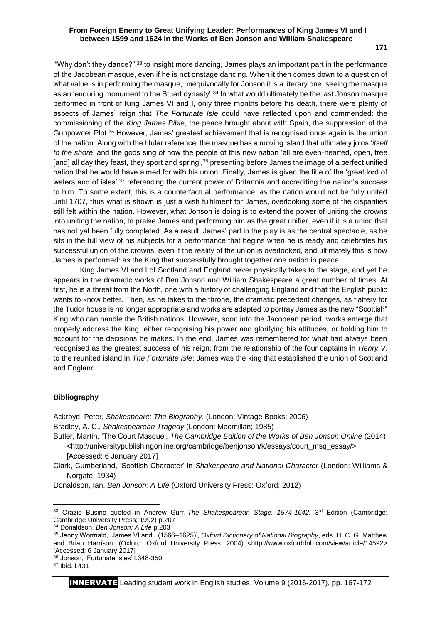## **From Foreign Enemy to Great Unifying Leader: Performances of King James VI and I between 1599 and 1624 in the Works of Ben Jonson and William Shakespeare**

'"Why don't they dance?"'<sup>33</sup> to insight more dancing, James plays an important part in the performance of the Jacobean masque, even if he is not onstage dancing. When it then comes down to a question of what value is in performing the masque, unequivocally for Jonson it is a literary one, seeing the masque as an 'enduring monument to the Stuart dynasty'.<sup>34</sup> In what would ultimately be the last Jonson masque performed in front of King James VI and I, only three months before his death, there were plenty of aspects of James' reign that *The Fortunate Isle* could have reflected upon and commended: the commissioning of the *King James Bible*, the peace brought about with Spain, the suppression of the Gunpowder Plot.<sup>35</sup> However, James' greatest achievement that is recognised once again is the union of the nation. Along with the titular reference, the masque has a moving island that ultimately joins '*itself to the shore*' and the gods sing of how the people of this new nation 'all are even-hearted, open, free [and] all day they feast, they sport and spring',<sup>36</sup> presenting before James the image of a perfect unified nation that he would have aimed for with his union. Finally, James is given the title of the 'great lord of waters and of isles',<sup>37</sup> referencing the current power of Britannia and accrediting the nation's success to him. To some extent, this is a counterfactual performance, as the nation would not be fully united until 1707, thus what is shown is just a wish fulfilment for James, overlooking some of the disparities still felt within the nation. However, what Jonson is doing is to extend the power of uniting the crowns into uniting the nation, to praise James and performing him as the great unifier, even if it is a union that has not yet been fully completed. As a result, James' part in the play is as the central spectacle, as he sits in the full view of his subjects for a performance that begins when he is ready and celebrates his successful union of the crowns, even if the reality of the union is overlooked, and ultimately this is how James is performed: as the King that successfully brought together one nation in peace.

King James VI and I of Scotland and England never physically takes to the stage, and yet he appears in the dramatic works of Ben Jonson and William Shakespeare a great number of times. At first, he is a threat from the North, one with a history of challenging England and that the English public wants to know better. Then, as he takes to the throne, the dramatic precedent changes, as flattery for the Tudor house is no longer appropriate and works are adapted to portray James as the new "Scottish" King who can handle the British nations. However, soon into the Jacobean period, works emerge that properly address the King, either recognising his power and glorifying his attitudes, or holding him to account for the decisions he makes. In the end, James was remembered for what had always been recognised as the greatest success of his reign, from the relationship of the four captains in *Henry V,*  to the reunited island in *The Fortunate Isle*: James was the king that established the union of Scotland and England.

### **Bibliography**

Ackroyd, Peter, *Shakespeare: The Biography*. (London: Vintage Books; 2006) Bradley, A. C., *Shakespearean Tragedy* (London: Macmillan; 1985)

Butler, Martin, 'The Court Masque', *The Cambridge Edition of the Works of Ben Jonson Online* (2014) <http://universitypublishingonline.org/cambridge/benjonson/k/essays/court\_msq\_essay/> [Accessed: 6 January 2017]

Clark, Cumberland, 'Scottish Character' in *Shakespeare and National Character* (London: Williams & Norgate; 1934)

Donaldson, Ian, *Ben Jonson: A Life* (Oxford University Press: Oxford; 2012)

 $\overline{a}$ 

<sup>&</sup>lt;sup>33</sup> Orazio Busino quoted in Andrew Gurr, *The Shakespearean Stage, 1574-1642, 3*<sup>rd</sup> Edition (Cambridge: Cambridge University Press; 1992) p.207

<sup>34</sup> Donaldson, *Ben Jonson: A Life* p.203

<sup>35</sup> Jenny Wormald, 'James VI and I (1566–1625)', *Oxford Dictionary of National Biography*, eds. H. C. G. Matthew and Brian Harrison. (Oxford: Oxford University Press; 2004) <http://www.oxforddnb.com/view/article/14592> [Accessed: 6 January 2017]

<sup>36</sup> Jonson, 'Fortunate Isles' l.348-350

<sup>37</sup> Ibid. l.431